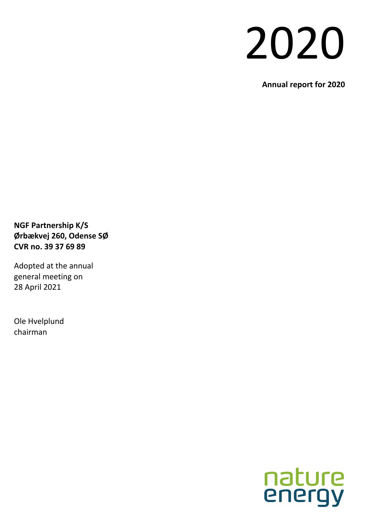# 2020

**Annual report for 2020**

**NGF Partnership K/S Ørbækvej 260, Odense SØ CVR no. 39 37 69 89**

Adopted at the annual general meeting on 28 April 2021

Ole Hvelplund chairman

# nature<br>energy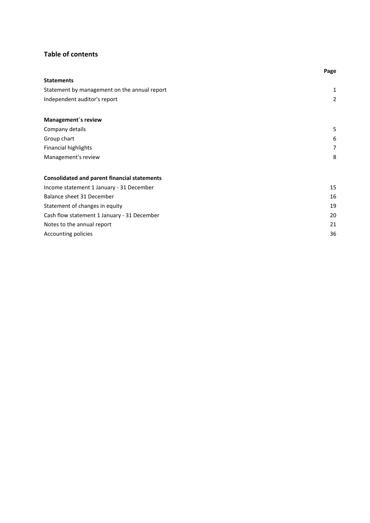## **Table of contents**

|                                                     | Page           |
|-----------------------------------------------------|----------------|
| <b>Statements</b>                                   |                |
| Statement by management on the annual report        | 1              |
| Independent auditor's report                        | $\overline{2}$ |
| Management's review                                 |                |
| Company details                                     | 5              |
| Group chart                                         | 6              |
| <b>Financial highlights</b>                         | $\overline{7}$ |
| Management's review                                 | 8              |
| <b>Consolidated and parent financial statements</b> |                |
| Income statement 1 January - 31 December            | 15             |
| Balance sheet 31 December                           | 16             |
| Statement of changes in equity                      | 19             |
| Cash flow statement 1 January - 31 December         | 20             |
| Notes to the annual report                          | 21             |
| Accounting policies                                 | 36             |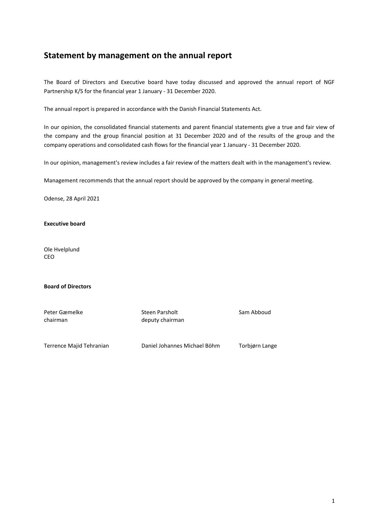## **Statement by management on the annual report**

The Board of Directors and Executive board have today discussed and approved the annual report of NGF Partnership K/S for the financial year 1 January - 31 December 2020.

The annual report is prepared in accordance with the Danish Financial Statements Act.

In our opinion, the consolidated financial statements and parent financial statements give a true and fair view of the company and the group financial position at 31 December 2020 and of the results of the group and the company operations and consolidated cash flows for the financial year 1 January - 31 December 2020.

In our opinion, management's review includes a fair review of the matters dealt with in the management's review.

Management recommends that the annual report should be approved by the company in general meeting.

Odense, 28 April 2021

**Executive board**

Ole Hvelplund CEO

**Board of Directors**

| Peter Gæmelke            | Steen Parsholt               | Sam Abboud     |
|--------------------------|------------------------------|----------------|
| chairman                 | deputy chairman              |                |
|                          |                              |                |
|                          |                              |                |
| Terrence Majid Tehranian | Daniel Johannes Michael Böhm | Torbiørn Lange |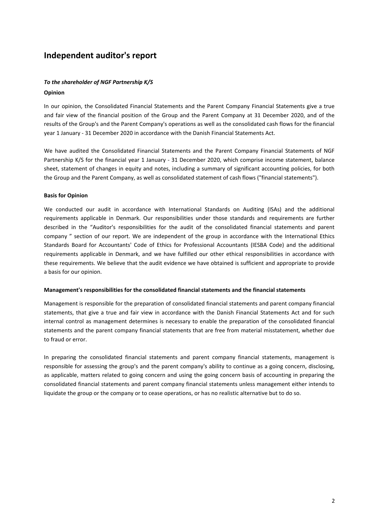## **Independent auditor's report**

## *To the shareholder of NGF Partnership K/S* **Opinion**

In our opinion, the Consolidated Financial Statements and the Parent Company Financial Statements give a true and fair view of the financial position of the Group and the Parent Company at 31 December 2020, and of the results of the Group's and the Parent Company's operations as well as the consolidated cash flows for the financial year 1 January - 31 December 2020 in accordance with the Danish Financial Statements Act.

We have audited the Consolidated Financial Statements and the Parent Company Financial Statements of NGF Partnership K/S for the financial year 1 January - 31 December 2020, which comprise income statement, balance sheet, statement of changes in equity and notes, including a summary of significant accounting policies, for both the Group and the Parent Company, as well as consolidated statement of cash flows ("financial statements").

## **Basis for Opinion**

We conducted our audit in accordance with International Standards on Auditing (ISAs) and the additional requirements applicable in Denmark. Our responsibilities under those standards and requirements are further described in the "Auditor's responsibilities for the audit of the consolidated financial statements and parent company " section of our report. We are independent of the group in accordance with the International Ethics Standards Board for Accountants' Code of Ethics for Professional Accountants (IESBA Code) and the additional requirements applicable in Denmark, and we have fulfilled our other ethical responsibilities in accordance with these requirements. We believe that the audit evidence we have obtained is sufficient and appropriate to provide a basis for our opinion.

## **Management's responsibilities for the consolidated financial statements and the financial statements**

Management is responsible for the preparation of consolidated financial statements and parent company financial statements, that give a true and fair view in accordance with the Danish Financial Statements Act and for such internal control as management determines is necessary to enable the preparation of the consolidated financial statements and the parent company financial statements that are free from material misstatement, whether due to fraud or error.

In preparing the consolidated financial statements and parent company financial statements, management is responsible for assessing the group's and the parent company's ability to continue as a going concern, disclosing, as applicable, matters related to going concern and using the going concern basis of accounting in preparing the consolidated financial statements and parent company financial statements unless management either intends to liquidate the group or the company or to cease operations, or has no realistic alternative but to do so.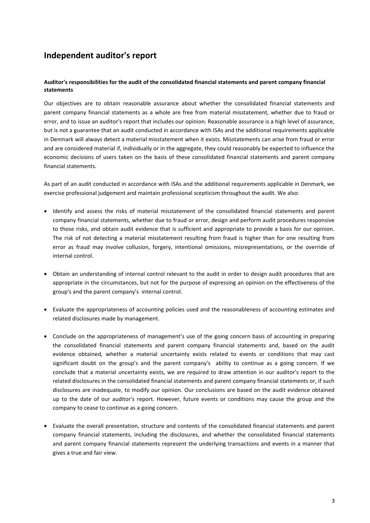## **Independent auditor's report**

## **Auditor's responsibilities for the audit of the consolidated financial statements and parent company financial statements**

Our objectives are to obtain reasonable assurance about whether the consolidated financial statements and parent company financial statements as a whole are free from material misstatement, whether due to fraud or error, and to issue an auditor's report that includes our opinion. Reasonable assurance is a high level of assurance, but is not a guarantee that an audit conducted in accordance with ISAs and the additional requirements applicable in Denmark will always detect a material misstatement when it exists. Misstatements can arise from fraud or error and are considered material if, individually or in the aggregate, they could reasonably be expected to influence the economic decisions of users taken on the basis of these consolidated financial statements and parent company financial statements.

As part of an audit conducted in accordance with ISAs and the additional requirements applicable in Denmark, we exercise professional judgement and maintain professional scepticism throughout the audit. We also:

- Identify and assess the risks of material misstatement of the consolidated financial statements and parent company financial statements, whether due to fraud or error, design and perform audit procedures responsive to those risks, and obtain audit evidence that is sufficient and appropriate to provide a basis for our opinion. The risk of not detecting a material misstatement resulting from fraud is higher than for one resulting from error as fraud may involve collusion, forgery, intentional omissions, misrepresentations, or the override of internal control.
- Obtain an understanding of internal control relevant to the audit in order to design audit procedures that are appropriate in the circumstances, but not for the purpose of expressing an opinion on the effectiveness of the group's and the parent company's internal control.
- Evaluate the appropriateness of accounting policies used and the reasonableness of accounting estimates and related disclosures made by management.
- Conclude on the appropriateness of management's use of the going concern basis of accounting in preparing the consolidated financial statements and parent company financial statements and, based on the audit evidence obtained, whether a material uncertainty exists related to events or conditions that may cast significant doubt on the group's and the parent company's ability to continue as a going concern. If we conclude that a material uncertainty exists, we are required to draw attention in our auditor's report to the related disclosures in the consolidated financial statements and parent company financial statements or, if such disclosures are inadequate, to modify our opinion. Our conclusions are based on the audit evidence obtained up to the date of our auditor's report. However, future events or conditions may cause the group and the company to cease to continue as a going concern.
- Evaluate the overall presentation, structure and contents of the consolidated financial statements and parent company financial statements, including the disclosures, and whether the consolidated financial statements and parent company financial statements represent the underlying transactions and events in a manner that gives a true and fair view.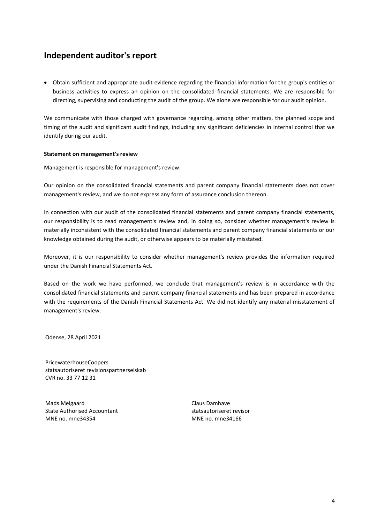## **Independent auditor's report**

 Obtain sufficient and appropriate audit evidence regarding the financial information for the group's entities or business activities to express an opinion on the consolidated financial statements. We are responsible for directing, supervising and conducting the audit of the group. We alone are responsible for our audit opinion.

We communicate with those charged with governance regarding, among other matters, the planned scope and timing of the audit and significant audit findings, including any significant deficiencies in internal control that we identify during our audit.

## **Statement on management's review**

Management is responsible for management's review.

Our opinion on the consolidated financial statements and parent company financial statements does not cover management's review, and we do not express any form of assurance conclusion thereon.

In connection with our audit of the consolidated financial statements and parent company financial statements, our responsibility is to read management's review and, in doing so, consider whether management's review is materially inconsistent with the consolidated financial statements and parent company financial statements or our knowledge obtained during the audit, or otherwise appears to be materially misstated.

Moreover, it is our responsibility to consider whether management's review provides the information required under the Danish Financial Statements Act.

Based on the work we have performed, we conclude that management's review is in accordance with the consolidated financial statements and parent company financial statements and has been prepared in accordance with the requirements of the Danish Financial Statements Act. We did not identify any material misstatement of management's review.

Odense, 28 April 2021

PricewaterhouseCoopers statsautoriseret revisionspartnerselskab CVR no. 33 77 12 31

Mads Melgaard State Authorised Accountant MNE no. mne34354

Claus Damhave statsautoriseret revisor MNE no. mne34166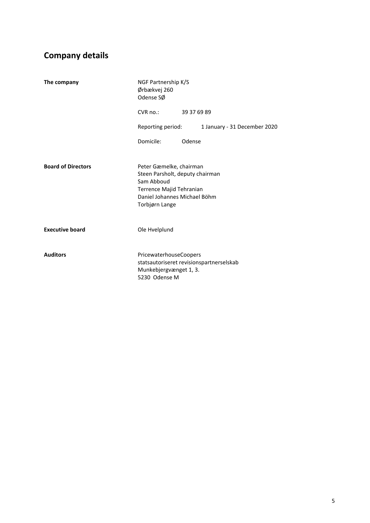# **Company details**

| The company               | NGF Partnership K/S<br>Ørbækvej 260<br>Odense SØ                                                                                                       |             |                              |  |
|---------------------------|--------------------------------------------------------------------------------------------------------------------------------------------------------|-------------|------------------------------|--|
|                           | $CVR$ no.:                                                                                                                                             | 39 37 69 89 |                              |  |
|                           | Reporting period:                                                                                                                                      |             | 1 January - 31 December 2020 |  |
|                           | Domicile:                                                                                                                                              | Odense      |                              |  |
|                           |                                                                                                                                                        |             |                              |  |
| <b>Board of Directors</b> | Peter Gæmelke, chairman<br>Steen Parsholt, deputy chairman<br>Sam Abboud<br>Terrence Majid Tehranian<br>Daniel Johannes Michael Böhm<br>Torbjørn Lange |             |                              |  |
| <b>Executive board</b>    | Ole Hvelplund                                                                                                                                          |             |                              |  |
| <b>Auditors</b>           | <b>PricewaterhouseCoopers</b><br>statsautoriseret revisionspartnerselskab<br>Munkebjergvænget 1, 3.<br>5230 Odense M                                   |             |                              |  |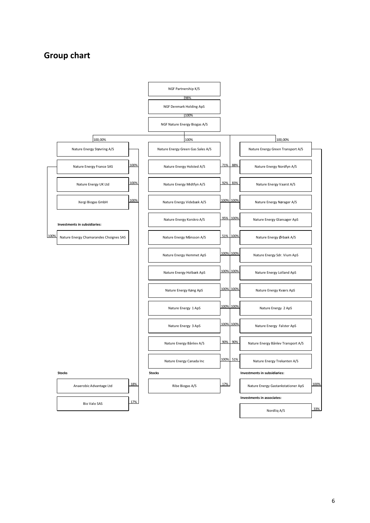## **Group chart**

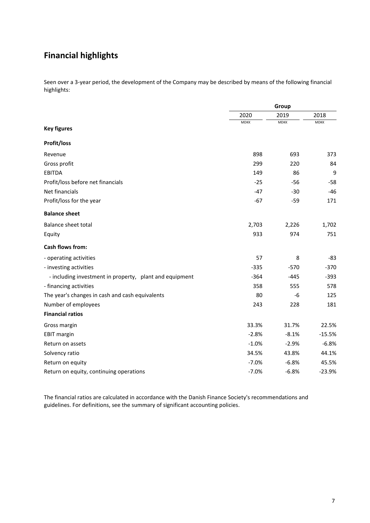## **Financial highlights**

Seen over a 3-year period, the development of the Company may be described by means of the following financial highlights:

|                                                         | Group       |             |             |
|---------------------------------------------------------|-------------|-------------|-------------|
|                                                         | 2020        | 2019        | 2018        |
| <b>Key figures</b>                                      | <b>MDKK</b> | <b>MDKK</b> | <b>MDKK</b> |
|                                                         |             |             |             |
| <b>Profit/loss</b>                                      |             |             |             |
| Revenue                                                 | 898         | 693         | 373         |
| Gross profit                                            | 299         | 220         | 84          |
| <b>EBITDA</b>                                           | 149         | 86          | 9           |
| Profit/loss before net financials                       | $-25$       | $-56$       | $-58$       |
| Net financials                                          | $-47$       | $-30$       | $-46$       |
| Profit/loss for the year                                | $-67$       | $-59$       | 171         |
| <b>Balance sheet</b>                                    |             |             |             |
| Balance sheet total                                     | 2,703       | 2,226       | 1,702       |
| Equity                                                  | 933         | 974         | 751         |
| <b>Cash flows from:</b>                                 |             |             |             |
| - operating activities                                  | 57          | 8           | $-83$       |
| - investing activities                                  | $-335$      | $-570$      | $-370$      |
| - including investment in property, plant and equipment | $-364$      | $-445$      | $-393$      |
| - financing activities                                  | 358         | 555         | 578         |
| The year's changes in cash and cash equivalents         | 80          | $-6$        | 125         |
| Number of employees                                     | 243         | 228         | 181         |
| <b>Financial ratios</b>                                 |             |             |             |
| Gross margin                                            | 33.3%       | 31.7%       | 22.5%       |
| <b>EBIT margin</b>                                      | $-2.8%$     | $-8.1%$     | $-15.5%$    |
| Return on assets                                        | $-1.0%$     | $-2.9%$     | $-6.8%$     |
| Solvency ratio                                          | 34.5%       | 43.8%       | 44.1%       |
| Return on equity                                        | $-7.0%$     | $-6.8%$     | 45.5%       |
| Return on equity, continuing operations                 | $-7.0%$     | $-6.8%$     | $-23.9%$    |

The financial ratios are calculated in accordance with the Danish Finance Society's recommendations and guidelines. For definitions, see the summary of significant accounting policies.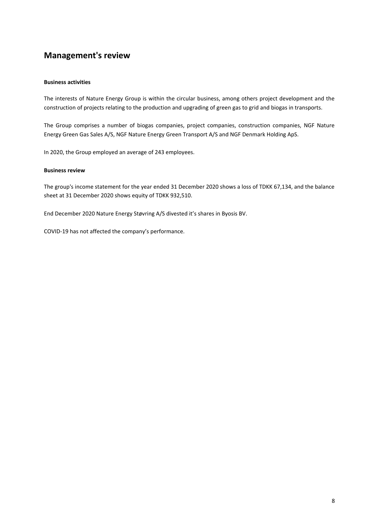## **Business activities**

The interests of Nature Energy Group is within the circular business, among others project development and the construction of projects relating to the production and upgrading of green gas to grid and biogas in transports.

The Group comprises a number of biogas companies, project companies, construction companies, NGF Nature Energy Green Gas Sales A/S, NGF Nature Energy Green Transport A/S and NGF Denmark Holding ApS.

In 2020, the Group employed an average of 243 employees.

#### **Business review**

The group's income statement for the year ended 31 December 2020 shows a loss of TDKK 67,134, and the balance sheet at 31 December 2020 shows equity of TDKK 932,510.

End December 2020 Nature Energy Støvring A/S divested it's shares in Byosis BV.

COVID-19 has not affected the company's performance.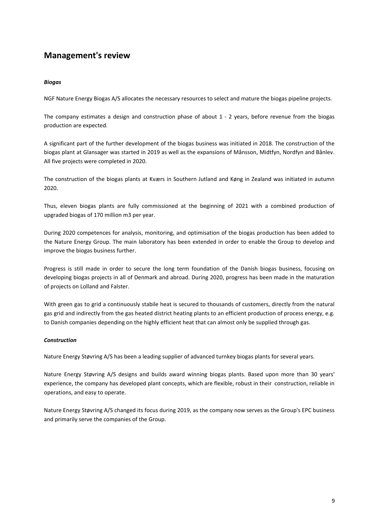## *Biogas*

NGF Nature Energy Biogas A/S allocates the necessary resources to select and mature the biogas pipeline projects.

The company estimates a design and construction phase of about 1 - 2 years, before revenue from the biogas production are expected.

A significant part of the further development of the biogas business was initiated in 2018. The construction of the biogas plant at Glansager was started in 2019 as well as the expansions of Månsson, Midtfyn, Nordfyn and Bånlev. All five projects were completed in 2020.

The construction of the biogas plants at Kværs in Southern Jutland and Køng in Zealand was initiated in autumn 2020.

Thus, eleven biogas plants are fully commissioned at the beginning of 2021 with a combined production of upgraded biogas of 170 million m3 per year.

During 2020 competences for analysis, monitoring, and optimisation of the biogas production has been added to the Nature Energy Group. The main laboratory has been extended in order to enable the Group to develop and improve the biogas business further.

Progress is still made in order to secure the long term foundation of the Danish biogas business, focusing on developing biogas projects in all of Denmark and abroad. During 2020, progress has been made in the maturation of projects on Lolland and Falster.

With green gas to grid a continuously stabile heat is secured to thousands of customers, directly from the natural gas grid and indirectly from the gas heated district heating plants to an efficient production of process energy, e.g. to Danish companies depending on the highly efficient heat that can almost only be supplied through gas.

## *Construction*

Nature Energy Støvring A/S has been a leading supplier of advanced turnkey biogas plants for several years.

Nature Energy Støvring A/S designs and builds award winning biogas plants. Based upon more than 30 years' experience, the company has developed plant concepts, which are flexible, robust in their construction, reliable in operations, and easy to operate.

Nature Energy Støvring A/S changed its focus during 2019, as the company now serves as the Group's EPC business and primarily serve the companies of the Group.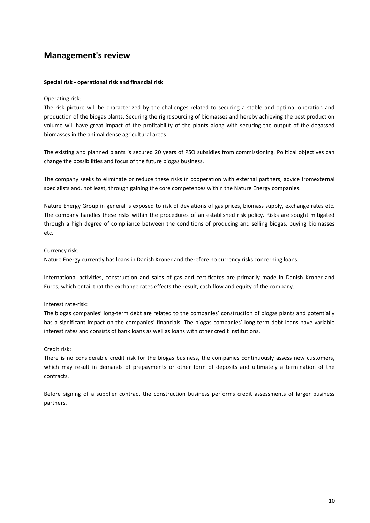## **Special risk - operational risk and financial risk**

## Operating risk:

The risk picture will be characterized by the challenges related to securing a stable and optimal operation and production of the biogas plants. Securing the right sourcing of biomasses and hereby achieving the best production volume will have great impact of the profitability of the plants along with securing the output of the degassed biomasses in the animal dense agricultural areas.

The existing and planned plants is secured 20 years of PSO subsidies from commissioning. Political objectives can change the possibilities and focus of the future biogas business.

The company seeks to eliminate or reduce these risks in cooperation with external partners, advice fromexternal specialists and, not least, through gaining the core competences within the Nature Energy companies.

Nature Energy Group in general is exposed to risk of deviations of gas prices, biomass supply, exchange rates etc. The company handles these risks within the procedures of an established risk policy. Risks are sought mitigated through a high degree of compliance between the conditions of producing and selling biogas, buying biomasses etc.

## Currency risk:

Nature Energy currently has loans in Danish Kroner and therefore no currency risks concerning loans.

International activities, construction and sales of gas and certificates are primarily made in Danish Kroner and Euros, which entail that the exchange rates effects the result, cash flow and equity of the company.

## Interest rate-risk:

The biogas companies' long-term debt are related to the companies' construction of biogas plants and potentially has a significant impact on the companies' financials. The biogas companies' long-term debt loans have variable interest rates and consists of bank loans as well as loans with other credit institutions.

## Credit risk:

There is no considerable credit risk for the biogas business, the companies continuously assess new customers, which may result in demands of prepayments or other form of deposits and ultimately a termination of the contracts.

Before signing of a supplier contract the construction business performs credit assessments of larger business partners.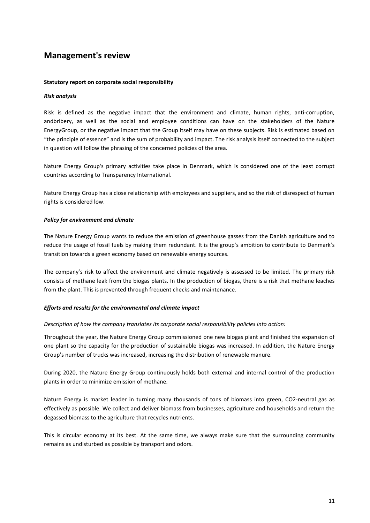## **Statutory report on corporate social responsibility**

## *Risk analysis*

Risk is defined as the negative impact that the environment and climate, human rights, anti-corruption, andbribery, as well as the social and employee conditions can have on the stakeholders of the Nature EnergyGroup, or the negative impact that the Group itself may have on these subjects. Risk is estimated based on "the principle of essence" and is the sum of probability and impact. The risk analysis itself connected to the subject in question will follow the phrasing of the concerned policies of the area.

Nature Energy Group's primary activities take place in Denmark, which is considered one of the least corrupt countries according to Transparency International.

Nature Energy Group has a close relationship with employees and suppliers, and so the risk of disrespect of human rights is considered low.

## *Policy for environment and climate*

The Nature Energy Group wants to reduce the emission of greenhouse gasses from the Danish agriculture and to reduce the usage of fossil fuels by making them redundant. It is the group's ambition to contribute to Denmark's transition towards a green economy based on renewable energy sources.

The company's risk to affect the environment and climate negatively is assessed to be limited. The primary risk consists of methane leak from the biogas plants. In the production of biogas, there is a risk that methane leaches from the plant. This is prevented through frequent checks and maintenance.

## *Efforts and results for the environmental and climate impact*

## *Description of how the company translates its corporate social responsibility policies into action:*

Throughout the year, the Nature Energy Group commissioned one new biogas plant and finished the expansion of one plant so the capacity for the production of sustainable biogas was increased. In addition, the Nature Energy Group's number of trucks was increased, increasing the distribution of renewable manure.

During 2020, the Nature Energy Group continuously holds both external and internal control of the production plants in order to minimize emission of methane.

Nature Energy is market leader in turning many thousands of tons of biomass into green, CO2-neutral gas as effectively as possible. We collect and deliver biomass from businesses, agriculture and households and return the degassed biomass to the agriculture that recycles nutrients.

This is circular economy at its best. At the same time, we always make sure that the surrounding community remains as undisturbed as possible by transport and odors.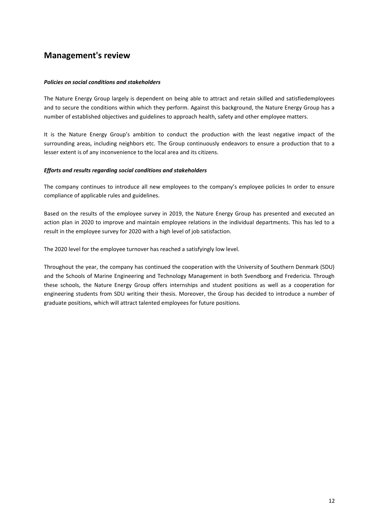## *Policies on social conditions and stakeholders*

The Nature Energy Group largely is dependent on being able to attract and retain skilled and satisfiedemployees and to secure the conditions within which they perform. Against this background, the Nature Energy Group has a number of established objectives and guidelines to approach health, safety and other employee matters.

It is the Nature Energy Group's ambition to conduct the production with the least negative impact of the surrounding areas, including neighbors etc. The Group continuously endeavors to ensure a production that to a lesser extent is of any inconvenience to the local area and its citizens.

## *Efforts and results regarding social conditions and stakeholders*

The company continues to introduce all new employees to the company's employee policies In order to ensure compliance of applicable rules and guidelines.

Based on the results of the employee survey in 2019, the Nature Energy Group has presented and executed an action plan in 2020 to improve and maintain employee relations in the individual departments. This has led to a result in the employee survey for 2020 with a high level of job satisfaction.

The 2020 level for the employee turnover has reached a satisfyingly low level.

Throughout the year, the company has continued the cooperation with the University of Southern Denmark (SDU) and the Schools of Marine Engineering and Technology Management in both Svendborg and Fredericia. Through these schools, the Nature Energy Group offers internships and student positions as well as a cooperation for engineering students from SDU writing their thesis. Moreover, the Group has decided to introduce a number of graduate positions, which will attract talented employees for future positions.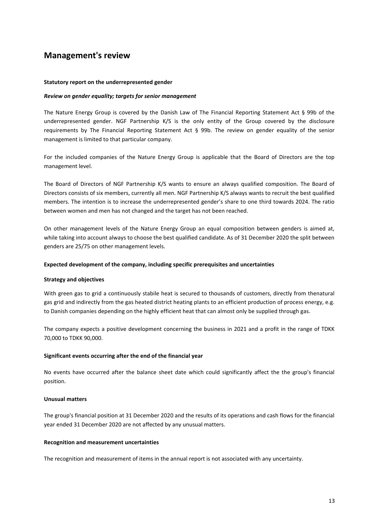#### **Statutory report on the underrepresented gender**

#### *Review on gender equality; targets for senior management*

The Nature Energy Group is covered by the Danish Law of The Financial Reporting Statement Act § 99b of the underrepresented gender. NGF Partnership K/S is the only entity of the Group covered by the disclosure requirements by The Financial Reporting Statement Act § 99b. The review on gender equality of the senior management is limited to that particular company.

For the included companies of the Nature Energy Group is applicable that the Board of Directors are the top management level.

The Board of Directors of NGF Partnership K/S wants to ensure an always qualified composition. The Board of Directors consists of six members, currently all men. NGF Partnership K/S always wants to recruit the best qualified members. The intention is to increase the underrepresented gender's share to one third towards 2024. The ratio between women and men has not changed and the target has not been reached.

On other management levels of the Nature Energy Group an equal composition between genders is aimed at, while taking into account always to choose the best qualified candidate. As of 31 December 2020 the split between genders are 25/75 on other management levels.

#### **Expected development of the company, including specific prerequisites and uncertainties**

#### **Strategy and objectives**

With green gas to grid a continuously stabile heat is secured to thousands of customers, directly from thenatural gas grid and indirectly from the gas heated district heating plants to an efficient production of process energy, e.g. to Danish companies depending on the highly efficient heat that can almost only be supplied through gas.

The company expects a positive development concerning the business in 2021 and a profit in the range of TDKK 70,000 to TDKK 90,000.

#### **Significant events occurring after the end of the financial year**

No events have occurred after the balance sheet date which could significantly affect the the group's financial position.

## **Unusual matters**

The group's financial position at 31 December 2020 and the results of its operations and cash flows for the financial year ended 31 December 2020 are not affected by any unusual matters.

#### **Recognition and measurement uncertainties**

The recognition and measurement of items in the annual report is not associated with any uncertainty.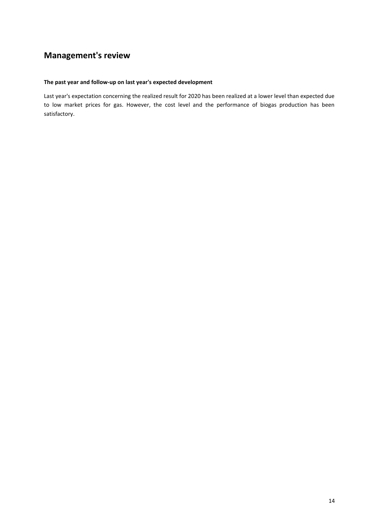## **The past year and follow-up on last year's expected development**

Last year's expectation concerning the realized result for 2020 has been realized at a lower level than expected due to low market prices for gas. However, the cost level and the performance of biogas production has been satisfactory.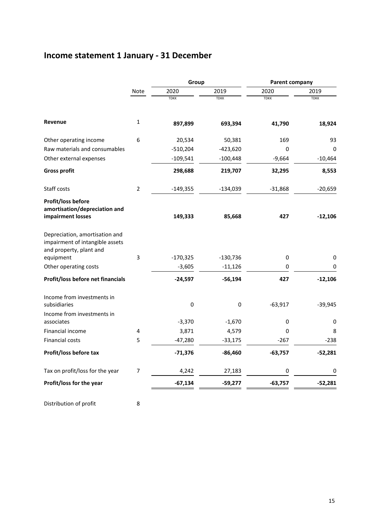# **Income statement 1 January - 31 December**

|                                                                                                           |                | Group       |             | Parent company |             |
|-----------------------------------------------------------------------------------------------------------|----------------|-------------|-------------|----------------|-------------|
|                                                                                                           | Note           | 2020        | 2019        | 2020           | 2019        |
|                                                                                                           |                | <b>TDKK</b> | <b>TDKK</b> | <b>TDKK</b>    | <b>TDKK</b> |
| Revenue                                                                                                   | 1              | 897,899     | 693,394     | 41,790         | 18,924      |
| Other operating income                                                                                    | 6              | 20,534      | 50,381      | 169            | 93          |
| Raw materials and consumables                                                                             |                | $-510,204$  | $-423,620$  | 0              | 0           |
| Other external expenses                                                                                   |                | $-109,541$  | $-100,448$  | $-9,664$       | $-10,464$   |
| <b>Gross profit</b>                                                                                       |                | 298,688     | 219,707     | 32,295         | 8,553       |
| Staff costs                                                                                               | $\overline{2}$ | $-149,355$  | $-134,039$  | $-31,868$      | $-20,659$   |
| <b>Profit/loss before</b><br>amortisation/depreciation and<br>impairment losses                           |                | 149,333     | 85,668      | 427            | $-12,106$   |
| Depreciation, amortisation and<br>impairment of intangible assets<br>and property, plant and<br>equipment | 3              | $-170,325$  | $-130,736$  | 0              | 0           |
| Other operating costs                                                                                     |                | $-3,605$    | $-11,126$   | 0              | 0           |
| Profit/loss before net financials                                                                         |                | $-24,597$   | $-56,194$   | 427            | $-12,106$   |
| Income from investments in<br>subsidiaries                                                                |                | 0           | 0           | $-63,917$      | $-39,945$   |
| Income from investments in<br>associates                                                                  |                | $-3,370$    | $-1,670$    | 0              | 0           |
| Financial income                                                                                          | 4              | 3,871       | 4,579       | 0              | 8           |
| Financial costs                                                                                           | 5              | $-47,280$   | $-33,175$   | $-267$         | $-238$      |
| Profit/loss before tax                                                                                    |                | $-71,376$   | $-86,460$   | $-63,757$      | $-52,281$   |
| Tax on profit/loss for the year                                                                           | 7              | 4,242       | 27,183      | 0              | 0           |
| Profit/loss for the year                                                                                  |                | $-67,134$   | $-59,277$   | $-63,757$      | $-52,281$   |
|                                                                                                           |                |             |             |                |             |

Distribution of profit 8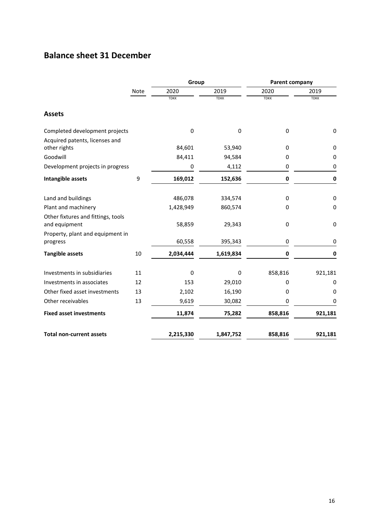# **Balance sheet 31 December**

|                                                                  |      | Group       |             | Parent company |             |
|------------------------------------------------------------------|------|-------------|-------------|----------------|-------------|
|                                                                  | Note | 2020        | 2019        | 2020           | 2019        |
|                                                                  |      | <b>TDKK</b> | <b>TDKK</b> | <b>TDKK</b>    | <b>TDKK</b> |
| <b>Assets</b>                                                    |      |             |             |                |             |
| Completed development projects<br>Acquired patents, licenses and |      | $\Omega$    | 0           | 0              | $\mathbf 0$ |
| other rights                                                     |      | 84,601      | 53,940      | 0              | 0           |
| Goodwill                                                         |      | 84,411      | 94,584      | 0              | 0           |
| Development projects in progress                                 |      | 0           | 4,112       | 0              | 0           |
| Intangible assets                                                | 9    | 169,012     | 152,636     | $\pmb{0}$      | $\bf{0}$    |
| Land and buildings                                               |      | 486,078     | 334,574     | 0              | $\mathbf 0$ |
| Plant and machinery                                              |      | 1,428,949   | 860,574     | 0              | $\mathbf 0$ |
| Other fixtures and fittings, tools<br>and equipment              |      | 58,859      | 29,343      | 0              | 0           |
| Property, plant and equipment in<br>progress                     |      | 60,558      | 395,343     | 0              | 0           |
| <b>Tangible assets</b>                                           | 10   | 2,034,444   | 1,619,834   | $\pmb{0}$      | 0           |
| Investments in subsidiaries                                      | 11   | 0           | 0           | 858,816        | 921,181     |
| Investments in associates                                        | 12   | 153         | 29,010      | 0              | 0           |
| Other fixed asset investments                                    | 13   | 2,102       | 16,190      | 0              | 0           |
| Other receivables                                                | 13   | 9,619       | 30,082      | 0              | 0           |
| <b>Fixed asset investments</b>                                   |      | 11,874      | 75,282      | 858,816        | 921,181     |
| <b>Total non-current assets</b>                                  |      | 2,215,330   | 1,847,752   | 858,816        | 921,181     |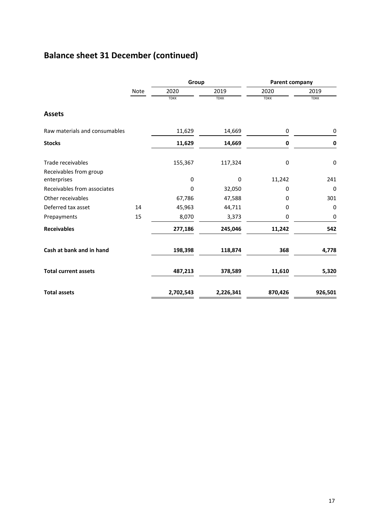# **Balance sheet 31 December (continued)**

|                               |      | Group       |             | Parent company |             |
|-------------------------------|------|-------------|-------------|----------------|-------------|
|                               | Note | 2020        | 2019        | 2020           | 2019        |
|                               |      | <b>TDKK</b> | <b>TDKK</b> | <b>TDKK</b>    | <b>TDKK</b> |
| <b>Assets</b>                 |      |             |             |                |             |
| Raw materials and consumables |      | 11,629      | 14,669      | 0              | 0           |
| <b>Stocks</b>                 |      | 11,629      | 14,669      | $\bf{0}$       | $\bf{0}$    |
| Trade receivables             |      | 155,367     | 117,324     | 0              | $\mathbf 0$ |
| Receivables from group        |      |             |             |                |             |
| enterprises                   |      | 0           | 0           | 11,242         | 241         |
| Receivables from associates   |      | $\mathbf 0$ | 32,050      | 0              | $\mathbf 0$ |
| Other receivables             |      | 67,786      | 47,588      | 0              | 301         |
| Deferred tax asset            | 14   | 45,963      | 44,711      | 0              | 0           |
| Prepayments                   | 15   | 8,070       | 3,373       | 0              | 0           |
| <b>Receivables</b>            |      | 277,186     | 245,046     | 11,242         | 542         |
| Cash at bank and in hand      |      | 198,398     | 118,874     | 368            | 4,778       |
| <b>Total current assets</b>   |      | 487,213     | 378,589     | 11,610         | 5,320       |
| <b>Total assets</b>           |      | 2,702,543   | 2,226,341   | 870,426        | 926,501     |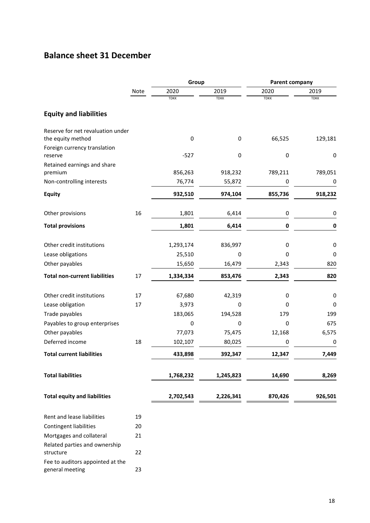# **Balance sheet 31 December**

|                                                        |          | Group           |             | Parent company |             |
|--------------------------------------------------------|----------|-----------------|-------------|----------------|-------------|
|                                                        | Note     | 2020            | 2019        | 2020           | 2019        |
|                                                        |          | <b>TDKK</b>     | <b>TDKK</b> | <b>TDKK</b>    | <b>TDKK</b> |
| <b>Equity and liabilities</b>                          |          |                 |             |                |             |
| Reserve for net revaluation under<br>the equity method |          | $\mathbf 0$     | 0           | 66,525         | 129,181     |
| Foreign currency translation                           |          |                 |             |                |             |
| reserve                                                |          | $-527$          | 0           | 0              | 0           |
| Retained earnings and share                            |          |                 |             |                |             |
| premium                                                |          | 856,263         | 918,232     | 789,211        | 789,051     |
| Non-controlling interests                              |          | 76,774          | 55,872      | 0              | 0           |
| <b>Equity</b>                                          |          | 932,510         | 974,104     | 855,736        | 918,232     |
| Other provisions                                       | 16       | 1,801           | 6,414       | 0              | 0           |
| <b>Total provisions</b>                                |          | 1,801           | 6,414       | $\pmb{0}$      | $\pmb{0}$   |
|                                                        |          |                 |             |                |             |
| Other credit institutions                              |          | 1,293,174       | 836,997     | 0              | 0           |
| Lease obligations                                      |          | 25,510          | 0           | 0              | 0           |
| Other payables                                         |          | 15,650          | 16,479      | 2,343          | 820         |
| <b>Total non-current liabilities</b>                   | 17       | 1,334,334       | 853,476     | 2,343          | 820         |
|                                                        |          |                 |             |                |             |
| Other credit institutions<br>Lease obligation          | 17<br>17 | 67,680<br>3,973 | 42,319<br>0 | 0<br>0         | 0<br>0      |
| Trade payables                                         |          | 183,065         | 194,528     | 179            | 199         |
| Payables to group enterprises                          |          | 0               | 0           | 0              | 675         |
| Other payables                                         |          | 77,073          | 75,475      | 12,168         | 6,575       |
| Deferred income                                        | 18       | 102,107         | 80,025      | 0              | 0           |
| <b>Total current liabilities</b>                       |          | 433,898         | 392,347     | 12,347         | 7,449       |
|                                                        |          |                 |             |                |             |
| <b>Total liabilities</b>                               |          | 1,768,232       | 1,245,823   | 14,690         | 8,269       |
| <b>Total equity and liabilities</b>                    |          | 2,702,543       | 2,226,341   | 870,426        | 926,501     |
|                                                        |          |                 |             |                |             |
| Rent and lease liabilities                             | 19       |                 |             |                |             |
| <b>Contingent liabilities</b>                          | 20       |                 |             |                |             |
| Mortgages and collateral                               | 21       |                 |             |                |             |
| Related parties and ownership                          |          |                 |             |                |             |
| structure                                              | 22       |                 |             |                |             |
| Fee to auditors appointed at the<br>general meeting    | 23       |                 |             |                |             |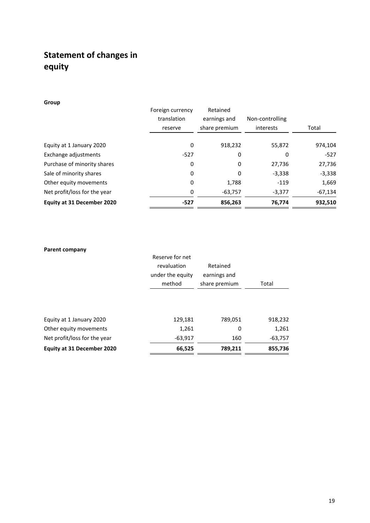# **Statement of changes in equity**

|                              | Foreign currency<br>translation<br>reserve | Retained<br>earnings and<br>share premium | Non-controlling<br>interests | Total     |
|------------------------------|--------------------------------------------|-------------------------------------------|------------------------------|-----------|
| Equity at 1 January 2020     | 0                                          | 918,232                                   | 55,872                       | 974,104   |
| Exchange adjustments         | $-527$                                     | 0                                         | 0                            | $-527$    |
| Purchase of minority shares  | 0                                          | 0                                         | 27,736                       | 27,736    |
| Sale of minority shares      | 0                                          | 0                                         | $-3,338$                     | $-3,338$  |
| Other equity movements       | 0                                          | 1,788                                     | $-119$                       | 1,669     |
| Net profit/loss for the year | 0                                          | $-63,757$                                 | $-3,377$                     | $-67,134$ |
| Equity at 31 December 2020   | $-527$                                     | 856,263                                   | 76,774                       | 932,510   |

**Group**

| <b>Parent company</b>        | Reserve for net<br>revaluation<br>under the equity<br>method | Retained<br>earnings and<br>share premium | Total     |
|------------------------------|--------------------------------------------------------------|-------------------------------------------|-----------|
| Equity at 1 January 2020     | 129,181                                                      | 789,051                                   | 918,232   |
| Other equity movements       | 1,261                                                        | 0                                         | 1,261     |
| Net profit/loss for the year | $-63,917$                                                    | 160                                       | $-63,757$ |
| Equity at 31 December 2020   | 66,525                                                       | 789,211                                   | 855,736   |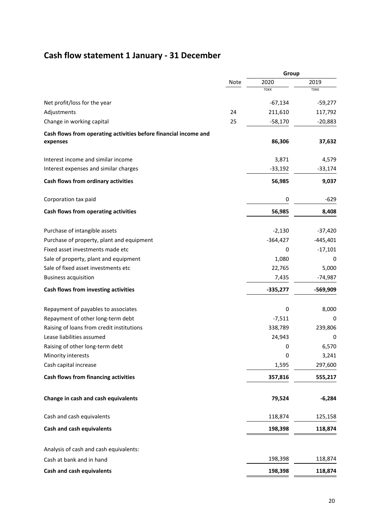# **Cash flow statement 1 January - 31 December**

|                                                                  |      | Group       |             |
|------------------------------------------------------------------|------|-------------|-------------|
|                                                                  | Note | 2020        | 2019        |
|                                                                  |      | <b>TDKK</b> | <b>TDKK</b> |
| Net profit/loss for the year                                     |      | $-67,134$   | $-59,277$   |
| Adjustments                                                      | 24   | 211,610     | 117,792     |
| Change in working capital                                        | 25   | $-58,170$   | $-20,883$   |
| Cash flows from operating activities before financial income and |      |             |             |
| expenses                                                         |      | 86,306      | 37,632      |
| Interest income and similar income                               |      | 3,871       | 4,579       |
| Interest expenses and similar charges                            |      | $-33,192$   | $-33,174$   |
| Cash flows from ordinary activities                              |      | 56,985      | 9,037       |
| Corporation tax paid                                             |      | 0           | $-629$      |
| Cash flows from operating activities                             |      | 56,985      | 8,408       |
| Purchase of intangible assets                                    |      | $-2,130$    | $-37,420$   |
| Purchase of property, plant and equipment                        |      | $-364,427$  | $-445,401$  |
| Fixed asset investments made etc                                 |      | 0           | $-17,101$   |
| Sale of property, plant and equipment                            |      | 1,080       | 0           |
| Sale of fixed asset investments etc                              |      | 22,765      | 5,000       |
| <b>Business acquisition</b>                                      |      | 7,435       | $-74,987$   |
| Cash flows from investing activities                             |      | $-335,277$  | -569,909    |
| Repayment of payables to associates                              |      | $\pmb{0}$   | 8,000       |
| Repayment of other long-term debt                                |      | $-7,511$    | 0           |
| Raising of loans from credit institutions                        |      | 338,789     | 239,806     |
| Lease liabilities assumed                                        |      | 24,943      | 0           |
| Raising of other long-term debt                                  |      | 0           | 6,570       |
| Minority interests                                               |      | $\pmb{0}$   | 3,241       |
| Cash capital increase                                            |      | 1,595       | 297,600     |
| Cash flows from financing activities                             |      | 357,816     | 555,217     |
| Change in cash and cash equivalents                              |      | 79,524      | $-6,284$    |
| Cash and cash equivalents                                        |      | 118,874     | 125,158     |
| Cash and cash equivalents                                        |      | 198,398     | 118,874     |
| Analysis of cash and cash equivalents:                           |      |             |             |
| Cash at bank and in hand                                         |      | 198,398     | 118,874     |
| Cash and cash equivalents                                        |      | 198,398     | 118,874     |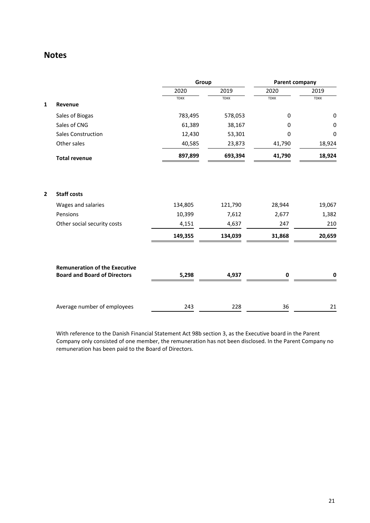|              |                                      | Group       |             | Parent company |             |
|--------------|--------------------------------------|-------------|-------------|----------------|-------------|
|              |                                      | 2020        | 2019        | 2020           | 2019        |
|              |                                      | <b>TDKK</b> | <b>TDKK</b> | <b>TDKK</b>    | <b>TDKK</b> |
| $\mathbf{1}$ | Revenue                              |             |             |                |             |
|              | Sales of Biogas                      | 783,495     | 578,053     | $\pmb{0}$      | $\pmb{0}$   |
|              | Sales of CNG                         | 61,389      | 38,167      | 0              | 0           |
|              | <b>Sales Construction</b>            | 12,430      | 53,301      | 0              | 0           |
|              | Other sales                          | 40,585      | 23,873      | 41,790         | 18,924      |
|              | <b>Total revenue</b>                 | 897,899     | 693,394     | 41,790         | 18,924      |
|              |                                      |             |             |                |             |
| $\mathbf{2}$ | <b>Staff costs</b>                   |             |             |                |             |
|              | Wages and salaries                   | 134,805     | 121,790     | 28,944         | 19,067      |
|              | Pensions                             | 10,399      | 7,612       | 2,677          | 1,382       |
|              | Other social security costs          | 4,151       | 4,637       | 247            | 210         |
|              |                                      | 149,355     | 134,039     | 31,868         | 20,659      |
|              | <b>Remuneration of the Executive</b> |             |             |                |             |
|              | <b>Board and Board of Directors</b>  | 5,298       | 4,937       | 0              | 0           |
|              | Average number of employees          | 243         | 228         | 36             | 21          |

With reference to the Danish Financial Statement Act 98b section 3, as the Executive board in the Parent Company only consisted of one member, the remuneration has not been disclosed. In the Parent Company no remuneration has been paid to the Board of Directors.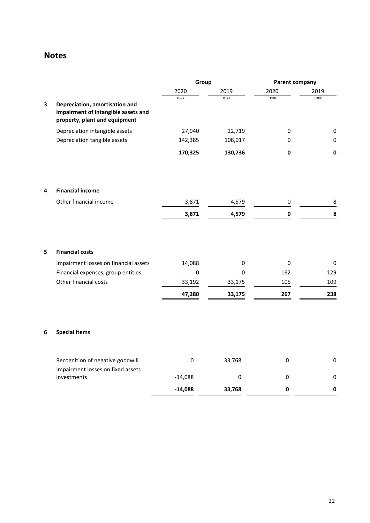|   |                                                                                                        | Group       |             | <b>Parent company</b> |             |
|---|--------------------------------------------------------------------------------------------------------|-------------|-------------|-----------------------|-------------|
|   |                                                                                                        | 2020        | 2019        | 2020                  | 2019        |
| 3 | Depreciation, amortisation and<br>impairment of intangible assets and<br>property, plant and equipment | <b>TDKK</b> | <b>TDKK</b> | <b>TDKK</b>           | <b>TDKK</b> |
|   | Depreciation intangible assets                                                                         | 27,940      | 22,719      | 0                     | 0           |
|   | Depreciation tangible assets                                                                           | 142,385     | 108,017     | 0                     | 0           |
|   |                                                                                                        | 170,325     | 130,736     | 0                     | 0           |
| 4 | <b>Financial income</b>                                                                                |             |             |                       |             |
|   | Other financial income                                                                                 | 3,871       | 4,579       | 0                     | 8           |
|   |                                                                                                        | 3,871       | 4,579       | 0                     | 8           |
| 5 | <b>Financial costs</b>                                                                                 |             |             |                       |             |
|   | Impairment losses on financial assets                                                                  | 14,088      | 0           | 0                     | 0           |
|   | Financial expenses, group entities                                                                     | $\mathsf 0$ | 0           | 162                   | 129         |
|   | Other financial costs                                                                                  | 33,192      | 33,175      | 105                   | 109         |
|   |                                                                                                        | 47,280      | 33,175      | 267                   | 238         |
| 6 | <b>Special items</b>                                                                                   |             |             |                       |             |
|   | Recognition of negative goodwill                                                                       | 0           | 33,768      | 0                     | 0           |
|   | Impairment losses on fixed assets<br>investments                                                       | $-14,088$   | $\pmb{0}$   | $\pmb{0}$             | 0           |
|   |                                                                                                        | $-14,088$   | 33,768      | $\pmb{0}$             | $\mathbf 0$ |
|   |                                                                                                        |             |             |                       |             |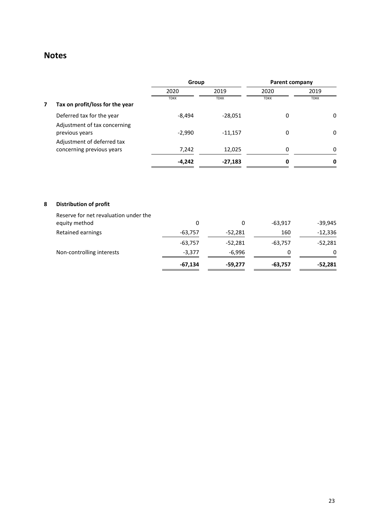|   |                                                         | Group       |             | <b>Parent company</b> |             |
|---|---------------------------------------------------------|-------------|-------------|-----------------------|-------------|
|   |                                                         | 2020        | 2019        | 2020                  | 2019        |
| 7 | Tax on profit/loss for the year                         | <b>TDKK</b> | <b>TDKK</b> | <b>TDKK</b>           | <b>TDKK</b> |
|   | Deferred tax for the year                               | $-8,494$    | $-28,051$   | 0                     | 0           |
|   | Adjustment of tax concerning<br>previous years          | $-2,990$    | $-11,157$   | 0                     | 0           |
|   | Adjustment of deferred tax<br>concerning previous years | 7,242       | 12,025      | 0                     | 0           |
|   |                                                         | $-4,242$    | $-27,183$   | 0                     | 0           |

## **8 Distribution of profit**

|                                                        | $-67,134$ | $-59,277$ | $-63,757$ | -52,281   |
|--------------------------------------------------------|-----------|-----------|-----------|-----------|
| Non-controlling interests                              | $-3,377$  | -6,996    | 0         | 0         |
|                                                        | $-63,757$ | $-52,281$ | $-63.757$ | $-52,281$ |
| Retained earnings                                      | $-63,757$ | $-52,281$ | 160       | $-12,336$ |
| Reserve for net revaluation under the<br>equity method | 0         | 0         | $-63.917$ | $-39,945$ |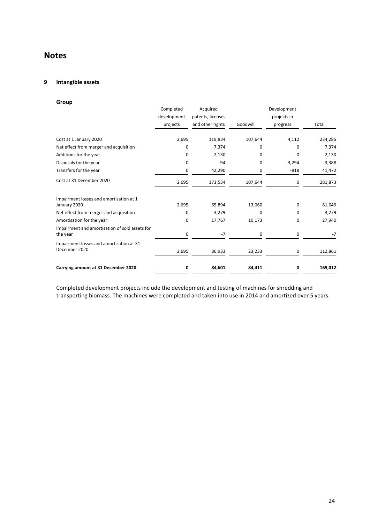## **9 Intangible assets**

| Group                                                      |             |                   |          |             |          |
|------------------------------------------------------------|-------------|-------------------|----------|-------------|----------|
|                                                            | Completed   | Acquired          |          | Development |          |
|                                                            | development | patents, licenses |          | projects in |          |
|                                                            | projects    | and other rights  | Goodwill | progress    | Total    |
| Cost at 1 January 2020                                     | 2,695       | 119,834           | 107,644  | 4,112       | 234,285  |
| Net effect from merger and acquisition                     | 0           | 7,374             | $\Omega$ | $\Omega$    | 7,374    |
| Additions for the year                                     | 0           | 2,130             | 0        | 0           | 2,130    |
| Disposals for the year                                     | 0           | $-94$             | $\Omega$ | $-3,294$    | $-3,388$ |
| Transfers for the year                                     | 0           | 42,290            | 0        | $-818$      | 41,472   |
| Cost at 31 December 2020                                   | 2,695       | 171,534           | 107,644  | 0           | 281,873  |
| Impairment losses and amortisation at 1                    |             |                   |          |             |          |
| January 2020                                               | 2,695       | 65,894            | 13,060   | 0           | 81,649   |
| Net effect from merger and acquisition                     | 0           | 3,279             | 0        | 0           | 3,279    |
| Amortisation for the year                                  | 0           | 17,767            | 10,173   | 0           | 27,940   |
| Impairment and amortisation of sold assets for<br>the year | 0           | $-7$              | 0        | 0           | $-7$     |
| Impairment losses and amortisation at 31                   |             |                   |          |             |          |
| December 2020                                              | 2,695       | 86,933            | 23,233   | 0           | 112,861  |
| Carrying amount at 31 December 2020                        | 0           | 84,601            | 84,411   | 0           | 169,012  |

Completed development projects include the development and testing of machines for shredding and transporting biomass. The machines were completed and taken into use in 2014 and amortized over 5 years.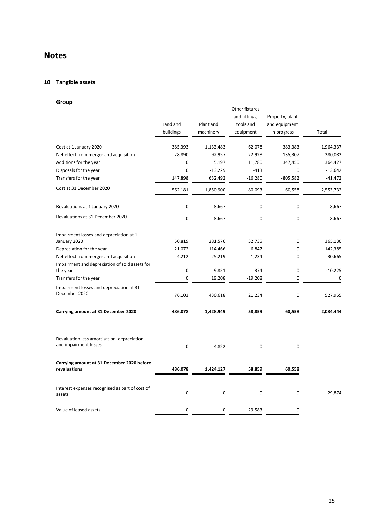## **10 Tangible assets**

## **Group**

| uruup                                                                |                       |                        |                                                           |                                                 |           |
|----------------------------------------------------------------------|-----------------------|------------------------|-----------------------------------------------------------|-------------------------------------------------|-----------|
|                                                                      | Land and<br>buildings | Plant and<br>machinery | Other fixtures<br>and fittings,<br>tools and<br>equipment | Property, plant<br>and equipment<br>in progress | Total     |
| Cost at 1 January 2020                                               | 385,393               | 1,133,483              | 62,078                                                    | 383,383                                         | 1,964,337 |
| Net effect from merger and acquisition                               | 28,890                | 92,957                 | 22,928                                                    | 135,307                                         | 280,082   |
| Additions for the year                                               | 0                     | 5,197                  | 11,780                                                    | 347,450                                         | 364,427   |
| Disposals for the year                                               | $\mathbf 0$           | $-13,229$              | $-413$                                                    | 0                                               | $-13,642$ |
| Transfers for the year                                               | 147,898               | 632,492                | $-16,280$                                                 | $-805,582$                                      | $-41,472$ |
| Cost at 31 December 2020                                             | 562,181               | 1,850,900              | 80,093                                                    | 60,558                                          | 2,553,732 |
| Revaluations at 1 January 2020                                       | $\mathbf 0$           | 8,667                  | 0                                                         | 0                                               | 8,667     |
| Revaluations at 31 December 2020                                     | $\pmb{0}$             | 8,667                  | $\pmb{0}$                                                 | 0                                               | 8,667     |
| Impairment losses and depreciation at 1<br>January 2020              | 50,819                | 281,576                | 32,735                                                    | 0                                               | 365,130   |
| Depreciation for the year                                            | 21,072                | 114,466                | 6,847                                                     | 0                                               | 142,385   |
| Net effect from merger and acquisition                               | 4,212                 | 25,219                 | 1,234                                                     | 0                                               | 30,665    |
| Impairment and depreciation of sold assets for<br>the year           | 0                     | $-9,851$               | $-374$                                                    | 0                                               | $-10,225$ |
| Transfers for the year                                               | $\mathbf 0$           | 19,208                 | $-19,208$                                                 | 0                                               | 0         |
| Impairment losses and depreciation at 31<br>December 2020            | 76,103                | 430,618                | 21,234                                                    | 0                                               | 527,955   |
| Carrying amount at 31 December 2020                                  | 486,078               | 1,428,949              | 58,859                                                    | 60,558                                          | 2,034,444 |
| Revaluation less amortisation, depreciation<br>and impairment losses | 0                     | 4,822                  | 0                                                         | 0                                               |           |
| Carrying amount at 31 December 2020 before<br>revaluations           | 486,078               | 1,424,127              | 58,859                                                    | 60,558                                          |           |
| Interest expenses recognised as part of cost of<br>assets            | 0                     | 0                      | 0                                                         | 0                                               | 29,874    |
| Value of leased assets                                               | $\mathbf 0$           | 0                      | 29,583                                                    | 0                                               |           |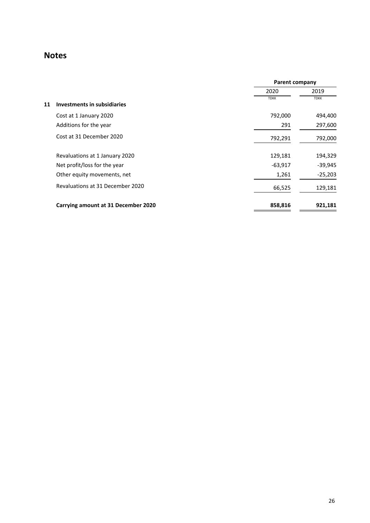|                                     | <b>Parent company</b> |             |
|-------------------------------------|-----------------------|-------------|
|                                     | 2020                  | 2019        |
| Investments in subsidiaries<br>11   | <b>TDKK</b>           | <b>TDKK</b> |
| Cost at 1 January 2020              | 792,000               | 494,400     |
| Additions for the year              | 291                   | 297,600     |
| Cost at 31 December 2020            | 792,291               | 792,000     |
| Revaluations at 1 January 2020      | 129,181               | 194,329     |
| Net profit/loss for the year        | $-63,917$             | $-39,945$   |
| Other equity movements, net         | 1,261                 | $-25,203$   |
| Revaluations at 31 December 2020    | 66,525                | 129,181     |
| Carrying amount at 31 December 2020 | 858,816               | 921,181     |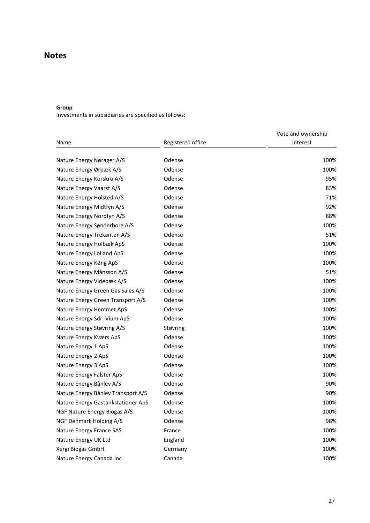## **Group**

Investments in subsidiaries are specified as follows:

|                                    |                   | Vote and ownership |
|------------------------------------|-------------------|--------------------|
| Name                               | Registered office | interest           |
| Nature Energy Nørager A/S          | Odense            | 100%               |
| Nature Energy Ørbæk A/S            | Odense            | 100%               |
| Nature Energy Korskro A/S          | Odense            | 95%                |
| Nature Energy Vaarst A/S           | Odense            | 83%                |
| Nature Energy Holsted A/S          | Odense            | 71%                |
| Nature Energy Midtfyn A/S          | Odense            | 92%                |
| Nature Energy Nordfyn A/S          | Odense            | 88%                |
| Nature Energy Sønderborg A/S       | Odense            | 100%               |
|                                    |                   |                    |
| Nature Energy Trekanten A/S        | Odense            | 51%                |
| Nature Energy Holbæk ApS           | Odense            | 100%               |
| Nature Energy Lolland ApS          | Odense            | 100%               |
| Nature Energy Køng ApS             | Odense            | 100%               |
| Nature Energy Månsson A/S          | Odense            | 51%                |
| Nature Energy Videbæk A/S          | Odense            | 100%               |
| Nature Energy Green Gas Sales A/S  | Odense            | 100%               |
| Nature Energy Green Transport A/S  | Odense            | 100%               |
| Nature Energy Hemmet ApS           | Odense            | 100%               |
| Nature Energy Sdr. Vium ApS        | Odense            | 100%               |
| Nature Energy Støvring A/S         | Støvring          | 100%               |
| Nature Energy Kværs ApS            | Odense            | 100%               |
| Nature Energy 1 ApS                | Odense            | 100%               |
| Nature Energy 2 ApS                | Odense            | 100%               |
| Nature Energy 3 ApS                | Odense            | 100%               |
| Nature Energy Falster ApS          | Odense            | 100%               |
| Nature Energy Bånlev A/S           | Odense            | 90%                |
| Nature Energy Bånlev Transport A/S | Odense            | 90%                |
| Nature Energy Gastankstationer ApS | Odense            | 100%               |
| NGF Nature Energy Biogas A/S       | Odense            | 100%               |
| NGF Denmark Holding A/S            | Odense            | 98%                |
| Nature Energy France SAS           | France            | 100%               |
| Nature Energy UK Ltd               | England           | 100%               |
| Xergi Biogas GmbH                  | Germany           | 100%               |
| Nature Energy Canada Inc           | Canada            | 100%               |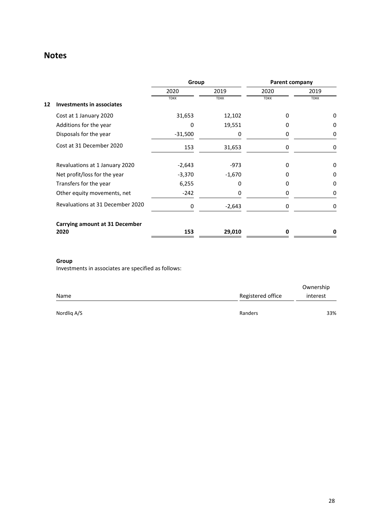|    |                                       | Group       |             | <b>Parent company</b> |             |
|----|---------------------------------------|-------------|-------------|-----------------------|-------------|
|    |                                       | 2020        | 2019        | 2020                  | 2019        |
|    |                                       | <b>TDKK</b> | <b>TDKK</b> | <b>TDKK</b>           | <b>TDKK</b> |
| 12 | <b>Investments in associates</b>      |             |             |                       |             |
|    | Cost at 1 January 2020                | 31,653      | 12,102      | 0                     | 0           |
|    | Additions for the year                | 0           | 19,551      | O                     | 0           |
|    | Disposals for the year                | $-31,500$   | 0           | 0                     | 0           |
|    | Cost at 31 December 2020              | 153         | 31,653      | 0                     | 0           |
|    | Revaluations at 1 January 2020        | $-2,643$    | $-973$      | n                     | 0           |
|    | Net profit/loss for the year          | $-3,370$    | $-1,670$    | 0                     | 0           |
|    | Transfers for the year                | 6,255       | 0           | 0                     | 0           |
|    | Other equity movements, net           | $-242$      | 0           | 0                     | 0           |
|    | Revaluations at 31 December 2020      | 0           | $-2,643$    | 0                     | 0           |
|    | <b>Carrying amount at 31 December</b> |             |             |                       |             |
|    | 2020                                  | 153         | 29,010      | O                     | 0           |

## **Group**

Investments in associates are specified as follows:

|             |                   | Ownership |
|-------------|-------------------|-----------|
| Name        | Registered office | interest  |
| Nordlig A/S | Randers           | 33%       |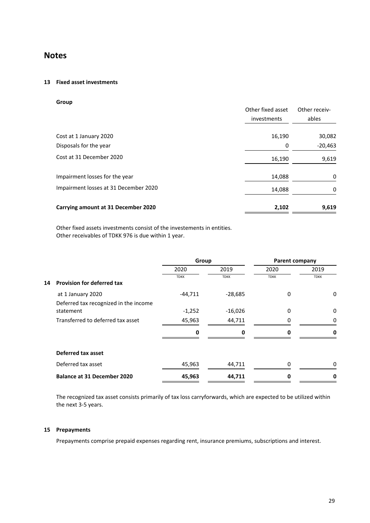## **13 Fixed asset investments**

| Group                                 |                   |               |
|---------------------------------------|-------------------|---------------|
|                                       | Other fixed asset | Other receiv- |
|                                       | investments       | ables         |
| Cost at 1 January 2020                | 16,190            | 30,082        |
| Disposals for the year                | 0                 | $-20,463$     |
| Cost at 31 December 2020              | 16,190            | 9,619         |
| Impairment losses for the year        | 14,088            | 0             |
| Impairment losses at 31 December 2020 | 14,088            | 0             |
| Carrying amount at 31 December 2020   | 2,102             | 9,619         |

Other fixed assets investments consist of the investements in entities. Other receivables of TDKK 976 is due within 1 year.

|    |                                                    | Group       |             | <b>Parent company</b> |             |
|----|----------------------------------------------------|-------------|-------------|-----------------------|-------------|
|    |                                                    | 2020        | 2019        | 2020                  | 2019        |
| 14 | <b>Provision for deferred tax</b>                  | <b>TDKK</b> | <b>TDKK</b> | <b>TDKK</b>           | <b>TDKK</b> |
|    | at 1 January 2020                                  | $-44,711$   | $-28,685$   | 0                     | 0           |
|    | Deferred tax recognized in the income<br>statement | $-1,252$    | $-16,026$   | 0                     | 0           |
|    | Transferred to deferred tax asset                  | 45,963      | 44,711      | 0                     | 0           |
|    |                                                    | 0           | 0           | ŋ                     | 0           |
|    | Deferred tax asset                                 |             |             |                       |             |
|    | Deferred tax asset                                 | 45,963      | 44,711      | 0                     | 0           |
|    | <b>Balance at 31 December 2020</b>                 | 45,963      | 44,711      | 0                     | 0           |

The recognized tax asset consists primarily of tax loss carryforwards, which are expected to be utilized within the next 3-5 years.

## **15 Prepayments**

Prepayments comprise prepaid expenses regarding rent, insurance premiums, subscriptions and interest.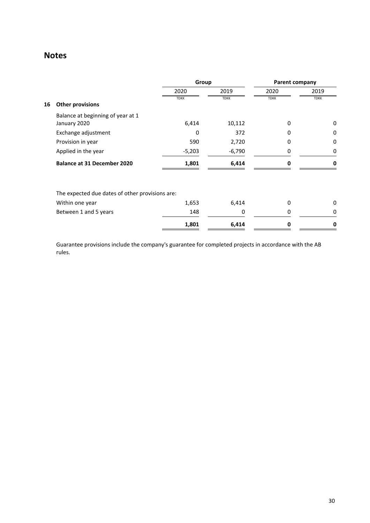|    |                                                 | Group       |             | Parent company |             |
|----|-------------------------------------------------|-------------|-------------|----------------|-------------|
|    |                                                 | 2020        | 2019        | 2020           | 2019        |
| 16 | <b>Other provisions</b>                         | <b>TDKK</b> | <b>TDKK</b> | <b>TDKK</b>    | <b>TDKK</b> |
|    | Balance at beginning of year at 1               |             |             |                |             |
|    | January 2020                                    | 6,414       | 10,112      | 0              | 0           |
|    | Exchange adjustment                             | O           | 372         | 0              | 0           |
|    | Provision in year                               | 590         | 2,720       | 0              | 0           |
|    | Applied in the year                             | $-5,203$    | $-6,790$    | 0              | 0           |
|    | <b>Balance at 31 December 2020</b>              | 1,801       | 6,414       | 0              | 0           |
|    | The expected due dates of other provisions are: |             |             |                |             |
|    | Within one year                                 | 1,653       | 6,414       | 0              | 0           |
|    | Between 1 and 5 years                           | 148         | 0           | 0              | 0           |
|    |                                                 | 1,801       | 6,414       | 0              | 0           |

Guarantee provisions include the company's guarantee for completed projects in accordance with the AB rules.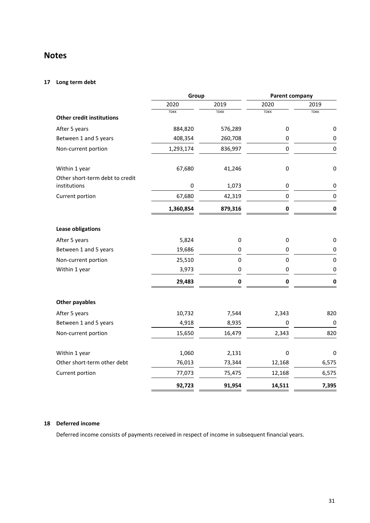## **17 Long term debt**

|                                                 | Group       |             | Parent company |             |
|-------------------------------------------------|-------------|-------------|----------------|-------------|
|                                                 | 2020        | 2019        | 2020           | 2019        |
| <b>Other credit institutions</b>                | <b>TDKK</b> | <b>TDKK</b> | <b>TDKK</b>    | <b>TDKK</b> |
| After 5 years                                   | 884,820     | 576,289     | 0              | 0           |
| Between 1 and 5 years                           | 408,354     | 260,708     | 0              | $\pmb{0}$   |
| Non-current portion                             | 1,293,174   | 836,997     | $\pmb{0}$      | $\mathbf 0$ |
| Within 1 year                                   | 67,680      | 41,246      | $\pmb{0}$      | $\pmb{0}$   |
| Other short-term debt to credit<br>institutions | 0           | 1,073       | 0              | 0           |
| Current portion                                 | 67,680      | 42,319      | $\pmb{0}$      | $\pmb{0}$   |
|                                                 | 1,360,854   | 879,316     | $\pmb{0}$      | $\mathbf 0$ |
| Lease obligations                               |             |             |                |             |
| After 5 years                                   | 5,824       | $\pmb{0}$   | 0              | 0           |
| Between 1 and 5 years                           | 19,686      | 0           | 0              | 0           |
| Non-current portion                             | 25,510      | $\pmb{0}$   | $\pmb{0}$      | $\pmb{0}$   |
| Within 1 year                                   | 3,973       | 0           | 0              | 0           |
|                                                 | 29,483      | 0           | 0              | 0           |
| <b>Other payables</b>                           |             |             |                |             |
| After 5 years                                   | 10,732      | 7,544       | 2,343          | 820         |
| Between 1 and 5 years                           | 4,918       | 8,935       | 0              | $\pmb{0}$   |
| Non-current portion                             | 15,650      | 16,479      | 2,343          | 820         |
| Within 1 year                                   | 1,060       | 2,131       | 0              | 0           |
| Other short-term other debt                     | 76,013      | 73,344      | 12,168         | 6,575       |
| Current portion                                 | 77,073      | 75,475      | 12,168         | 6,575       |
|                                                 | 92,723      | 91,954      | 14,511         | 7,395       |

## **18 Deferred income**

Deferred income consists of payments received in respect of income in subsequent financial years.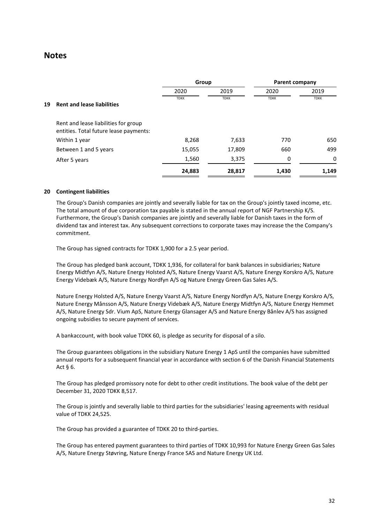|    |                                                                                | Group       |             | <b>Parent company</b> |             |
|----|--------------------------------------------------------------------------------|-------------|-------------|-----------------------|-------------|
|    |                                                                                | 2020        | 2019        | 2020                  | 2019        |
| 19 | <b>Rent and lease liabilities</b>                                              | <b>TDKK</b> | <b>TDKK</b> | <b>TDKK</b>           | <b>TDKK</b> |
|    | Rent and lease liabilities for group<br>entities. Total future lease payments: |             |             |                       |             |
|    | Within 1 year                                                                  | 8,268       | 7,633       | 770                   | 650         |
|    | Between 1 and 5 years                                                          | 15,055      | 17,809      | 660                   | 499         |
|    | After 5 years                                                                  | 1,560       | 3,375       | 0                     | 0           |
|    |                                                                                | 24,883      | 28,817      | 1,430                 | 1,149       |

## **20 Contingent liabilities**

The Group's Danish companies are jointly and severally liable for tax on the Group's jointly taxed income, etc. The total amount of due corporation tax payable is stated in the annual report of NGF Partnership K/S. Furthermore, the Group's Danish companies are jointly and severally liable for Danish taxes in the form of dividend tax and interest tax. Any subsequent corrections to corporate taxes may increase the the Company's commitment.

The Group has signed contracts for TDKK 1,900 for a 2.5 year period.

The Group has pledged bank account, TDKK 1,936, for collateral for bank balances in subsidiaries; Nature Energy Midtfyn A/S, Nature Energy Holsted A/S, Nature Energy Vaarst A/S, Nature Energy Korskro A/S, Nature Energy Videbæk A/S, Nature Energy Nordfyn A/S og Nature Energy Green Gas Sales A/S.

Nature Energy Holsted A/S, Nature Energy Vaarst A/S, Nature Energy Nordfyn A/S, Nature Energy Korskro A/S, Nature Energy Månsson A/S, Nature Energy Videbæk A/S, Nature Energy Midtfyn A/S, Nature Energy Hemmet A/S, Nature Energy Sdr. Vium ApS, Nature Energy Glansager A/S and Nature Energy Bånlev A/S has assigned ongoing subsidies to secure payment of services.

A bankaccount, with book value TDKK 60, is pledge as security for disposal of a silo.

The Group guarantees obligations in the subsidiary Nature Energy 1 ApS until the companies have submitted annual reports for a subsequent financial year in accordance with section 6 of the Danish Financial Statements Act § 6.

The Group has pledged promissory note for debt to other credit institutions. The book value of the debt per December 31, 2020 TDKK 8,517.

The Group is jointly and severally liable to third parties for the subsidiaries' leasing agreements with residual value of TDKK 24,525.

The Group has provided a guarantee of TDKK 20 to third-parties.

The Group has entered payment guarantees to third parties of TDKK 10,993 for Nature Energy Green Gas Sales A/S, Nature Energy Støvring, Nature Energy France SAS and Nature Energy UK Ltd.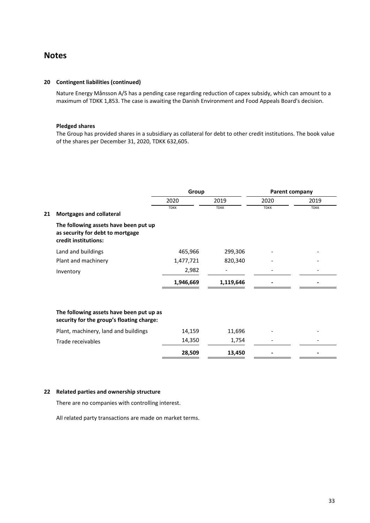#### **20 Contingent liabilities (continued)**

Nature Energy Månsson A/S has a pending case regarding reduction of capex subsidy, which can amount to a maximum of TDKK 1,853. The case is awaiting the Danish Environment and Food Appeals Board's decision.

## **Pledged shares**

The Group has provided shares in a subsidiary as collateral for debt to other credit institutions. The book value of the shares per December 31, 2020, TDKK 632,605.

|    |                                                                                                   | Group       |             | Parent company |             |
|----|---------------------------------------------------------------------------------------------------|-------------|-------------|----------------|-------------|
|    |                                                                                                   | 2020        | 2019        | 2020           | 2019        |
| 21 | Mortgages and collateral                                                                          | <b>TDKK</b> | <b>TDKK</b> | <b>TDKK</b>    | <b>TDKK</b> |
|    | The following assets have been put up<br>as security for debt to mortgage<br>credit institutions: |             |             |                |             |
|    | Land and buildings                                                                                | 465,966     | 299,306     |                |             |
|    | Plant and machinery                                                                               | 1,477,721   | 820,340     |                |             |
|    | Inventory                                                                                         | 2,982       |             |                |             |
|    |                                                                                                   | 1,946,669   | 1,119,646   |                |             |
|    | The following assets have been put up as<br>security for the group's floating charge:             |             |             |                |             |
|    | Plant, machinery, land and buildings                                                              | 14,159      | 11,696      |                |             |
|    | Trade receivables                                                                                 | 14,350      | 1,754       |                |             |
|    |                                                                                                   | 28,509      | 13,450      |                |             |

## **22 Related parties and ownership structure**

There are no companies with controlling interest.

All related party transactions are made on market terms.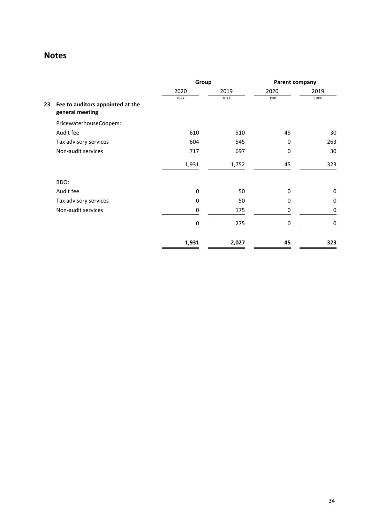|    |                                                     | Group<br>Parent company |             |             |             |
|----|-----------------------------------------------------|-------------------------|-------------|-------------|-------------|
|    |                                                     | 2020                    | 2019        | 2020        | 2019        |
| 23 | Fee to auditors appointed at the<br>general meeting | <b>TDKK</b>             | <b>TDKK</b> | <b>TDKK</b> | <b>TDKK</b> |
|    | PricewaterhouseCoopers:                             |                         |             |             |             |
|    | Audit fee                                           | 610                     | 510         | 45          | 30          |
|    | Tax advisory services                               | 604                     | 545         | 0           | 263         |
|    | Non-audit services                                  | 717                     | 697         | 0           | 30          |
|    |                                                     | 1,931                   | 1,752       | 45          | 323         |
|    | BDO:                                                |                         |             |             |             |
|    | Audit fee                                           | 0                       | 50          | $\mathbf 0$ | 0           |
|    | Tax advisory services                               | 0                       | 50          | 0           | 0           |
|    | Non-audit services                                  | 0                       | 175         | 0           | 0           |
|    |                                                     | $\mathbf 0$             | 275         | 0           | 0           |
|    |                                                     | 1,931                   | 2,027       | 45          | 323         |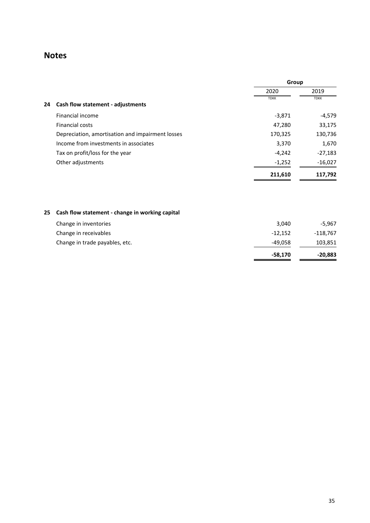|    |                                                  | Group       |             |
|----|--------------------------------------------------|-------------|-------------|
|    |                                                  | 2020        | 2019        |
| 24 | Cash flow statement - adjustments                | <b>TDKK</b> | <b>TDKK</b> |
|    | Financial income                                 | $-3,871$    | $-4,579$    |
|    | <b>Financial costs</b>                           | 47,280      | 33,175      |
|    | Depreciation, amortisation and impairment losses | 170,325     | 130,736     |
|    | Income from investments in associates            | 3,370       | 1,670       |
|    | Tax on profit/loss for the year                  | $-4,242$    | $-27,183$   |
|    | Other adjustments                                | $-1,252$    | $-16,027$   |
|    |                                                  | 211,610     | 117,792     |

## **25 Cash flow statement - change in working capital**

|                                | $-58,170$ | -20,883    |
|--------------------------------|-----------|------------|
| Change in trade payables, etc. | -49.058   | 103,851    |
| Change in receivables          | $-12,152$ | $-118,767$ |
| Change in inventories          | 3,040     | $-5,967$   |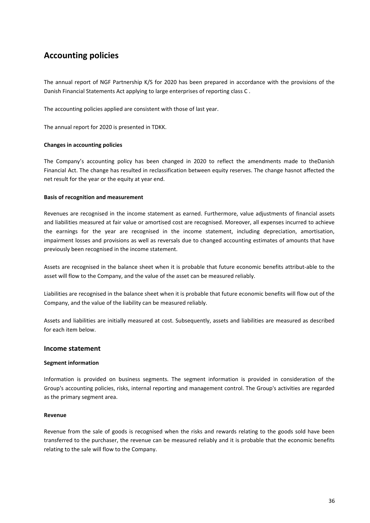The annual report of NGF Partnership K/S for 2020 has been prepared in accordance with the provisions of the Danish Financial Statements Act applying to large enterprises of reporting class C .

The accounting policies applied are consistent with those of last year.

The annual report for 2020 is presented in TDKK.

## **Changes in accounting policies**

The Company's accounting policy has been changed in 2020 to reflect the amendments made to theDanish Financial Act. The change has resulted in reclassification between equity reserves. The change hasnot affected the net result for the year or the equity at year end.

## **Basis of recognition and measurement**

Revenues are recognised in the income statement as earned. Furthermore, value adjustments of financial assets and liabilities measured at fair value or amortised cost are recognised. Moreover, all expenses incurred to achieve the earnings for the year are recognised in the income statement, including depreciation, amortisation, impairment losses and provisions as well as reversals due to changed accounting estimates of amounts that have previously been recognised in the income statement.

Assets are recognised in the balance sheet when it is probable that future economic benefits attribut-able to the asset will flow to the Company, and the value of the asset can be measured reliably.

Liabilities are recognised in the balance sheet when it is probable that future economic benefits will flow out of the Company, and the value of the liability can be measured reliably.

Assets and liabilities are initially measured at cost. Subsequently, assets and liabilities are measured as described for each item below.

## **Income statement**

## **Segment information**

Information is provided on business segments. The segment information is provided in consideration of the Group's accounting policies, risks, internal reporting and management control. The Group's activities are regarded as the primary segment area.

## **Revenue**

Revenue from the sale of goods is recognised when the risks and rewards relating to the goods sold have been transferred to the purchaser, the revenue can be measured reliably and it is probable that the economic benefits relating to the sale will flow to the Company.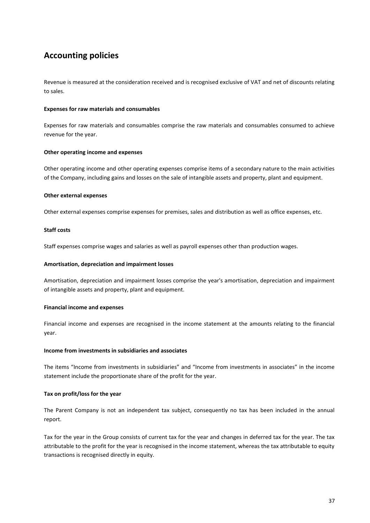Revenue is measured at the consideration received and is recognised exclusive of VAT and net of discounts relating to sales.

## **Expenses for raw materials and consumables**

Expenses for raw materials and consumables comprise the raw materials and consumables consumed to achieve revenue for the year.

#### **Other operating income and expenses**

Other operating income and other operating expenses comprise items of a secondary nature to the main activities of the Company, including gains and losses on the sale of intangible assets and property, plant and equipment.

#### **Other external expenses**

Other external expenses comprise expenses for premises, sales and distribution as well as office expenses, etc.

#### **Staff costs**

Staff expenses comprise wages and salaries as well as payroll expenses other than production wages.

#### **Amortisation, depreciation and impairment losses**

Amortisation, depreciation and impairment losses comprise the year's amortisation, depreciation and impairment of intangible assets and property, plant and equipment.

#### **Financial income and expenses**

Financial income and expenses are recognised in the income statement at the amounts relating to the financial year.

#### **Income from investments in subsidiaries and associates**

The items "Income from investments in subsidiaries" and "Income from investments in associates" in the income statement include the proportionate share of the profit for the year.

#### **Tax on profit/loss for the year**

The Parent Company is not an independent tax subject, consequently no tax has been included in the annual report.

Tax for the year in the Group consists of current tax for the year and changes in deferred tax for the year. The tax attributable to the profit for the year is recognised in the income statement, whereas the tax attributable to equity transactions is recognised directly in equity.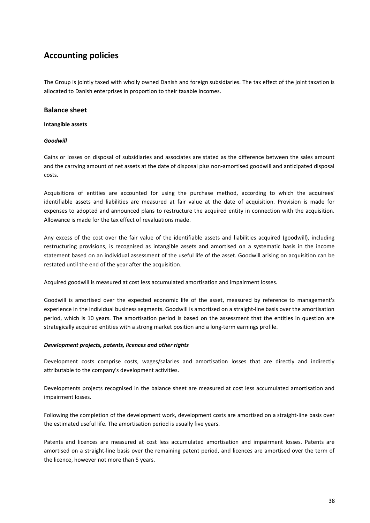The Group is jointly taxed with wholly owned Danish and foreign subsidiaries. The tax effect of the joint taxation is allocated to Danish enterprises in proportion to their taxable incomes.

## **Balance sheet**

## **Intangible assets**

## *Goodwill*

Gains or losses on disposal of subsidiaries and associates are stated as the difference between the sales amount and the carrying amount of net assets at the date of disposal plus non-amortised goodwill and anticipated disposal costs.

Acquisitions of entities are accounted for using the purchase method, according to which the acquirees' identifiable assets and liabilities are measured at fair value at the date of acquisition. Provision is made for expenses to adopted and announced plans to restructure the acquired entity in connection with the acquisition. Allowance is made for the tax effect of revaluations made.

Any excess of the cost over the fair value of the identifiable assets and liabilities acquired (goodwill), including restructuring provisions, is recognised as intangible assets and amortised on a systematic basis in the income statement based on an individual assessment of the useful life of the asset. Goodwill arising on acquisition can be restated until the end of the year after the acquisition.

Acquired goodwill is measured at cost less accumulated amortisation and impairment losses.

Goodwill is amortised over the expected economic life of the asset, measured by reference to management's experience in the individual business segments. Goodwill is amortised on a straight-line basis over the amortisation period, which is 10 years. The amortisation period is based on the assessment that the entities in question are strategically acquired entities with a strong market position and a long-term earnings profile.

## *Development projects, patents, licences and other rights*

Development costs comprise costs, wages/salaries and amortisation losses that are directly and indirectly attributable to the company's development activities.

Developments projects recognised in the balance sheet are measured at cost less accumulated amortisation and impairment losses.

Following the completion of the development work, development costs are amortised on a straight-line basis over the estimated useful life. The amortisation period is usually five years.

Patents and licences are measured at cost less accumulated amortisation and impairment losses. Patents are amortised on a straight-line basis over the remaining patent period, and licences are amortised over the term of the licence, however not more than 5 years.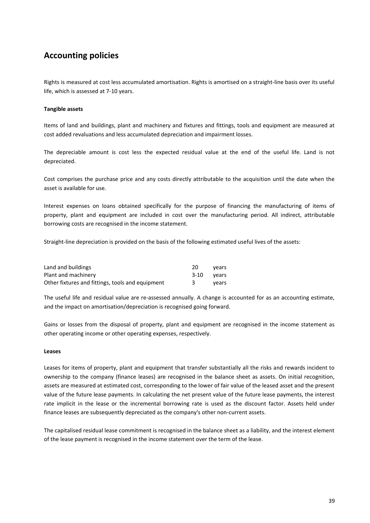Rights is measured at cost less accumulated amortisation. Rights is amortised on a straight-line basis over its useful life, which is assessed at 7-10 years.

## **Tangible assets**

Items of land and buildings, plant and machinery and fixtures and fittings, tools and equipment are measured at cost added revaluations and less accumulated depreciation and impairment losses.

The depreciable amount is cost less the expected residual value at the end of the useful life. Land is not depreciated.

Cost comprises the purchase price and any costs directly attributable to the acquisition until the date when the asset is available for use.

Interest expenses on loans obtained specifically for the purpose of financing the manufacturing of items of property, plant and equipment are included in cost over the manufacturing period. All indirect, attributable borrowing costs are recognised in the income statement.

Straight-line depreciation is provided on the basis of the following estimated useful lives of the assets:

| Land and buildings                               | 20         | vears |
|--------------------------------------------------|------------|-------|
| Plant and machinery                              | 3-10 vears |       |
| Other fixtures and fittings, tools and equipment |            | vears |

The useful life and residual value are re-assessed annually. A change is accounted for as an accounting estimate, and the impact on amortisation/depreciation is recognised going forward.

Gains or losses from the disposal of property, plant and equipment are recognised in the income statement as other operating income or other operating expenses, respectively.

## **Leases**

Leases for items of property, plant and equipment that transfer substantially all the risks and rewards incident to ownership to the company (finance leases) are recognised in the balance sheet as assets. On initial recognition, assets are measured at estimated cost, corresponding to the lower of fair value of the leased asset and the present value of the future lease payments. In calculating the net present value of the future lease payments, the interest rate implicit in the lease or the incremental borrowing rate is used as the discount factor. Assets held under finance leases are subsequently depreciated as the company's other non-current assets.

The capitalised residual lease commitment is recognised in the balance sheet as a liability, and the interest element of the lease payment is recognised in the income statement over the term of the lease.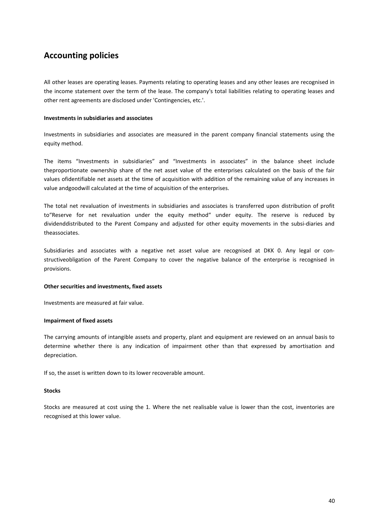All other leases are operating leases. Payments relating to operating leases and any other leases are recognised in the income statement over the term of the lease. The company's total liabilities relating to operating leases and other rent agreements are disclosed under 'Contingencies, etc.'.

## **Investments in subsidiaries and associates**

Investments in subsidiaries and associates are measured in the parent company financial statements using the equity method.

The items "Investments in subsidiaries" and "Investments in associates" in the balance sheet include theproportionate ownership share of the net asset value of the enterprises calculated on the basis of the fair values ofidentifiable net assets at the time of acquisition with addition of the remaining value of any increases in value andgoodwill calculated at the time of acquisition of the enterprises.

The total net revaluation of investments in subsidiaries and associates is transferred upon distribution of profit to"Reserve for net revaluation under the equity method" under equity. The reserve is reduced by dividenddistributed to the Parent Company and adjusted for other equity movements in the subsi-diaries and theassociates.

Subsidiaries and associates with a negative net asset value are recognised at DKK 0. Any legal or constructiveobligation of the Parent Company to cover the negative balance of the enterprise is recognised in provisions.

## **Other securities and investments, fixed assets**

Investments are measured at fair value.

## **Impairment of fixed assets**

The carrying amounts of intangible assets and property, plant and equipment are reviewed on an annual basis to determine whether there is any indication of impairment other than that expressed by amortisation and depreciation.

If so, the asset is written down to its lower recoverable amount.

## **Stocks**

Stocks are measured at cost using the 1. Where the net realisable value is lower than the cost, inventories are recognised at this lower value.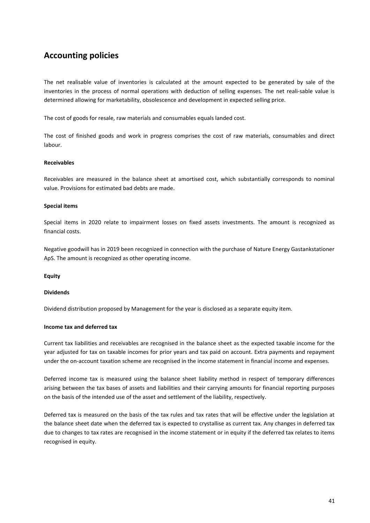The net realisable value of inventories is calculated at the amount expected to be generated by sale of the inventories in the process of normal operations with deduction of selling expenses. The net reali-sable value is determined allowing for marketability, obsolescence and development in expected selling price.

The cost of goods for resale, raw materials and consumables equals landed cost.

The cost of finished goods and work in progress comprises the cost of raw materials, consumables and direct labour.

#### **Receivables**

Receivables are measured in the balance sheet at amortised cost, which substantially corresponds to nominal value. Provisions for estimated bad debts are made.

#### **Special items**

Special items in 2020 relate to impairment losses on fixed assets investments. The amount is recognized as financial costs.

Negative goodwill has in 2019 been recognized in connection with the purchase of Nature Energy Gastankstationer ApS. The amount is recognized as other operating income.

**Equity**

#### **Dividends**

Dividend distribution proposed by Management for the year is disclosed as a separate equity item.

#### **Income tax and deferred tax**

Current tax liabilities and receivables are recognised in the balance sheet as the expected taxable income for the year adjusted for tax on taxable incomes for prior years and tax paid on account. Extra payments and repayment under the on-account taxation scheme are recognised in the income statement in financial income and expenses.

Deferred income tax is measured using the balance sheet liability method in respect of temporary differences arising between the tax bases of assets and liabilities and their carrying amounts for financial reporting purposes on the basis of the intended use of the asset and settlement of the liability, respectively.

Deferred tax is measured on the basis of the tax rules and tax rates that will be effective under the legislation at the balance sheet date when the deferred tax is expected to crystallise as current tax. Any changes in deferred tax due to changes to tax rates are recognised in the income statement or in equity if the deferred tax relates to items recognised in equity.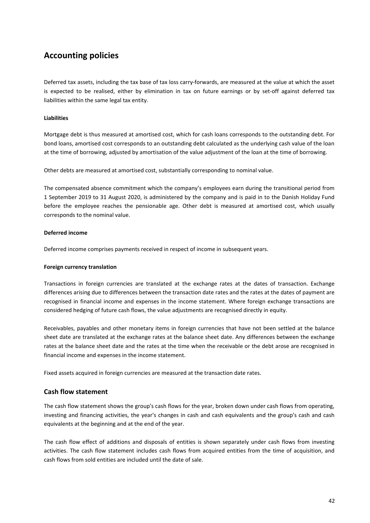Deferred tax assets, including the tax base of tax loss carry-forwards, are measured at the value at which the asset is expected to be realised, either by elimination in tax on future earnings or by set-off against deferred tax liabilities within the same legal tax entity.

## **Liabilities**

Mortgage debt is thus measured at amortised cost, which for cash loans corresponds to the outstanding debt. For bond loans, amortised cost corresponds to an outstanding debt calculated as the underlying cash value of the loan at the time of borrowing, adjusted by amortisation of the value adjustment of the loan at the time of borrowing.

Other debts are measured at amortised cost, substantially corresponding to nominal value.

The compensated absence commitment which the company's employees earn during the transitional period from 1 September 2019 to 31 August 2020, is administered by the company and is paid in to the Danish Holiday Fund before the employee reaches the pensionable age. Other debt is measured at amortised cost, which usually corresponds to the nominal value.

## **Deferred income**

Deferred income comprises payments received in respect of income in subsequent years.

## **Foreign currency translation**

Transactions in foreign currencies are translated at the exchange rates at the dates of transaction. Exchange differences arising due to differences between the transaction date rates and the rates at the dates of payment are recognised in financial income and expenses in the income statement. Where foreign exchange transactions are considered hedging of future cash flows, the value adjustments are recognised directly in equity.

Receivables, payables and other monetary items in foreign currencies that have not been settled at the balance sheet date are translated at the exchange rates at the balance sheet date. Any differences between the exchange rates at the balance sheet date and the rates at the time when the receivable or the debt arose are recognised in financial income and expenses in the income statement.

Fixed assets acquired in foreign currencies are measured at the transaction date rates.

## **Cash flow statement**

The cash flow statement shows the group's cash flows for the year, broken down under cash flows from operating, investing and financing activities, the year's changes in cash and cash equivalents and the group's cash and cash equivalents at the beginning and at the end of the year.

The cash flow effect of additions and disposals of entities is shown separately under cash flows from investing activities. The cash flow statement includes cash flows from acquired entities from the time of acquisition, and cash flows from sold entities are included until the date of sale.